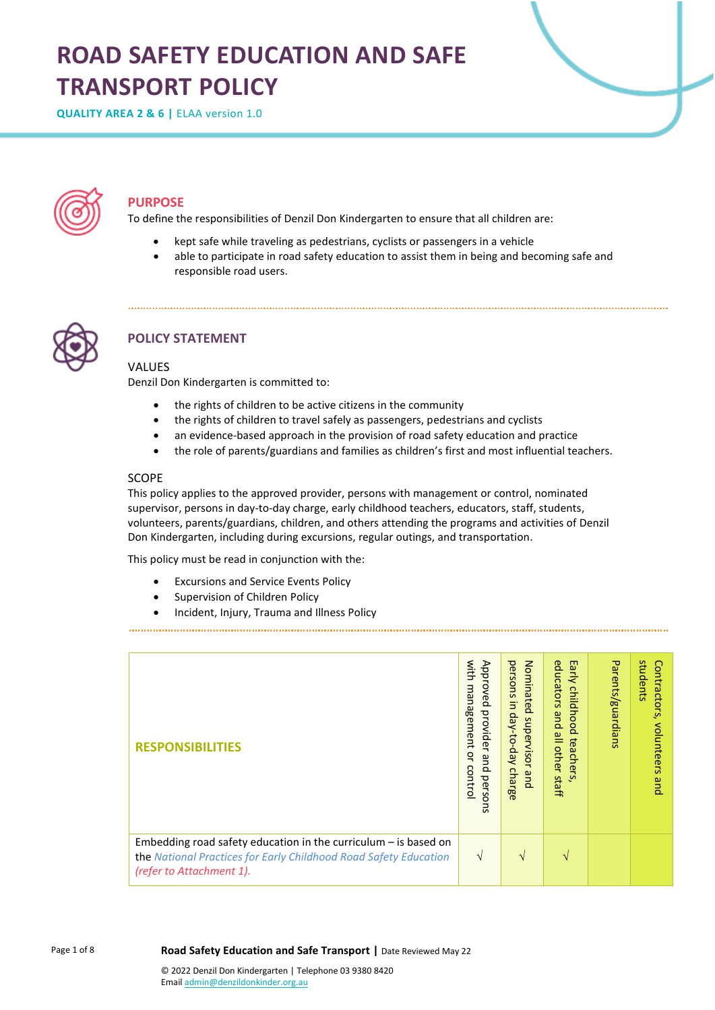# **ROAD SAFETY EDUCATION AND SAFE TRANSPORT POLICY**

**QUALITY AREA 2 & 6 |** ELAA version 1.0



## **PURPOSE**

To define the responsibilities of Denzil Don Kindergarten to ensure that all children are:

- kept safe while traveling as pedestrians, cyclists or passengers in a vehicle
- able to participate in road safety education to assist them in being and becoming safe and responsible road users.



## **POLICY STATEMENT**

## VALUES

Denzil Don Kindergarten is committed to:

- the rights of children to be active citizens in the community
- the rights of children to travel safely as passengers, pedestrians and cyclists
- an evidence-based approach in the provision of road safety education and practice
- the role of parents/guardians and families as children's first and most influential teachers.

### **SCOPE**

This policy applies to the approved provider, persons with management or control, nominated supervisor, persons in day-to-day charge, early childhood teachers, educators, staff, students, volunteers, parents/guardians, children, and others attending the programs and activities of Denzil Don Kindergarten, including during excursions, regular outings, and transportation.

This policy must be read in conjunction with the:

- Excursions and Service Events Policy
- Supervision of Children Policy
- Incident, Injury, Trauma and Illness Policy

| <b>RESPONSIBILITIES</b>                                                                                                                                           | with<br>Approved<br>management<br>provider<br>o<br>pue<br>8<br>perso<br>ntrol<br>$\overline{5}$ | Nominated<br>persons<br>$\overline{5}$<br>day-to-day<br>superviso<br>$\overline{\phantom{0}}$<br>charge<br>pue | educators<br>m<br>jarly<br>childhood<br>pue<br>$\overset{\omega}{=}$<br>teacher<br>l other<br>staff<br><b>vi</b> | Parents/guardians | students<br>Contractors<br>volunteers<br>pue |
|-------------------------------------------------------------------------------------------------------------------------------------------------------------------|-------------------------------------------------------------------------------------------------|----------------------------------------------------------------------------------------------------------------|------------------------------------------------------------------------------------------------------------------|-------------------|----------------------------------------------|
| Embedding road safety education in the curriculum $-$ is based on<br>the National Practices for Early Childhood Road Safety Education<br>(refer to Attachment 1). | $\sqrt{ }$                                                                                      | V                                                                                                              | N                                                                                                                |                   |                                              |

Page 1 of 8

**Road Safety Education and Safe Transport |** Date Reviewed May 22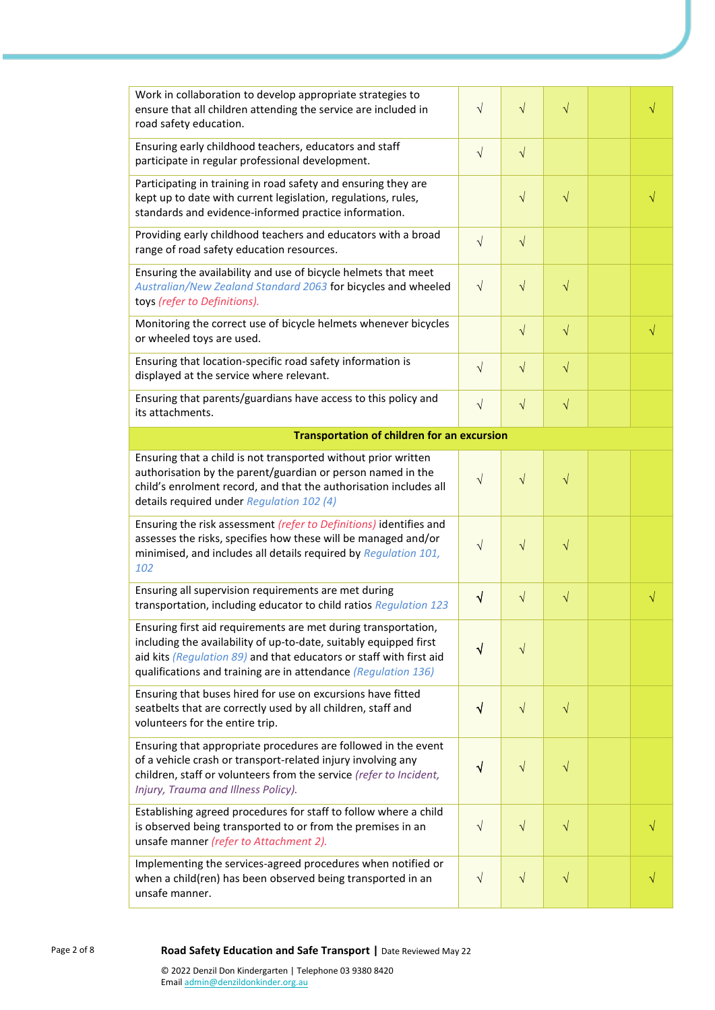| Work in collaboration to develop appropriate strategies to<br>ensure that all children attending the service are included in<br>road safety education.                                                                                                                       | $\sqrt{ }$ | $\sqrt{}$  | $\sqrt{}$ |           |
|------------------------------------------------------------------------------------------------------------------------------------------------------------------------------------------------------------------------------------------------------------------------------|------------|------------|-----------|-----------|
| Ensuring early childhood teachers, educators and staff<br>participate in regular professional development.                                                                                                                                                                   | $\sqrt{}$  | $\sqrt{}$  |           |           |
| Participating in training in road safety and ensuring they are<br>kept up to date with current legislation, regulations, rules,<br>standards and evidence-informed practice information.                                                                                     |            | $\sqrt{}$  | $\sqrt{}$ | $\sqrt{}$ |
| Providing early childhood teachers and educators with a broad<br>range of road safety education resources.                                                                                                                                                                   | $\sqrt{}$  | $\sqrt{}$  |           |           |
| Ensuring the availability and use of bicycle helmets that meet<br>Australian/New Zealand Standard 2063 for bicycles and wheeled<br>toys (refer to Definitions).                                                                                                              | $\sqrt{}$  | $\sqrt{}$  | $\sqrt{}$ |           |
| Monitoring the correct use of bicycle helmets whenever bicycles<br>or wheeled toys are used.                                                                                                                                                                                 |            | $\sqrt{ }$ | $\sqrt{}$ | $\sqrt{}$ |
| Ensuring that location-specific road safety information is<br>displayed at the service where relevant.                                                                                                                                                                       | $\sqrt{}$  | $\sqrt{}$  | $\sqrt{}$ |           |
| Ensuring that parents/guardians have access to this policy and<br>its attachments.                                                                                                                                                                                           | $\sqrt{}$  | $\sqrt{}$  | $\sqrt{}$ |           |
| <b>Transportation of children for an excursion</b>                                                                                                                                                                                                                           |            |            |           |           |
| Ensuring that a child is not transported without prior written<br>authorisation by the parent/guardian or person named in the<br>child's enrolment record, and that the authorisation includes all<br>details required under Regulation 102 (4)                              | $\sqrt{}$  | $\sqrt{}$  | $\sqrt{}$ |           |
| Ensuring the risk assessment (refer to Definitions) identifies and<br>assesses the risks, specifies how these will be managed and/or<br>minimised, and includes all details required by Regulation 101,<br>102                                                               | $\sqrt{ }$ | $\sqrt{}$  | V         |           |
| Ensuring all supervision requirements are met during<br>transportation, including educator to child ratios Regulation 123                                                                                                                                                    | $\sqrt{}$  | $\sqrt{}$  | $\sqrt{}$ | $\sqrt{}$ |
| Ensuring first aid requirements are met during transportation,<br>including the availability of up-to-date, suitably equipped first<br>aid kits (Regulation 89) and that educators or staff with first aid<br>qualifications and training are in attendance (Regulation 136) | $\sqrt{}$  | $\sqrt{}$  |           |           |
| Ensuring that buses hired for use on excursions have fitted<br>seatbelts that are correctly used by all children, staff and<br>volunteers for the entire trip.                                                                                                               | $\sqrt{}$  | $\sqrt{}$  | $\sqrt{}$ |           |
| Ensuring that appropriate procedures are followed in the event<br>of a vehicle crash or transport-related injury involving any<br>children, staff or volunteers from the service (refer to Incident,<br>Injury, Trauma and Illness Policy).                                  | $\sqrt{}$  | $\sqrt{}$  | $\sqrt{}$ |           |
| Establishing agreed procedures for staff to follow where a child<br>is observed being transported to or from the premises in an<br>unsafe manner (refer to Attachment 2).                                                                                                    | $\sqrt{}$  | $\sqrt{}$  | $\sqrt{}$ |           |
| Implementing the services-agreed procedures when notified or<br>when a child(ren) has been observed being transported in an                                                                                                                                                  | $\sqrt{}$  | $\sqrt{}$  | $\sqrt{}$ |           |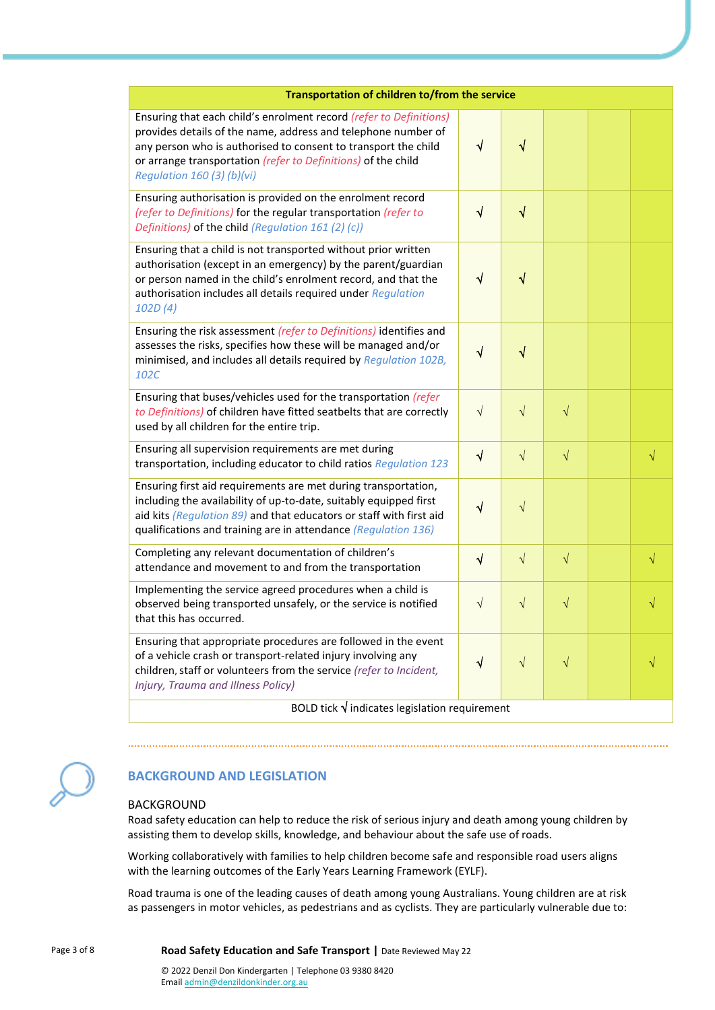| Transportation of children to/from the service                                                                                                                                                                                                                                                       |           |           |           |  |           |  |
|------------------------------------------------------------------------------------------------------------------------------------------------------------------------------------------------------------------------------------------------------------------------------------------------------|-----------|-----------|-----------|--|-----------|--|
| Ensuring that each child's enrolment record (refer to Definitions)<br>provides details of the name, address and telephone number of<br>any person who is authorised to consent to transport the child<br>or arrange transportation (refer to Definitions) of the child<br>Regulation 160 (3) (b)(vi) | $\sqrt{}$ | $\sqrt{}$ |           |  |           |  |
| Ensuring authorisation is provided on the enrolment record<br>(refer to Definitions) for the regular transportation (refer to<br>Definitions) of the child (Regulation 161 (2) (c))                                                                                                                  | √         | $\sqrt{}$ |           |  |           |  |
| Ensuring that a child is not transported without prior written<br>authorisation (except in an emergency) by the parent/guardian<br>or person named in the child's enrolment record, and that the<br>authorisation includes all details required under Regulation<br>102D(4)                          | $\sqrt{}$ | √         |           |  |           |  |
| Ensuring the risk assessment (refer to Definitions) identifies and<br>assesses the risks, specifies how these will be managed and/or<br>minimised, and includes all details required by Regulation 102B,<br>102C                                                                                     | √         | √         |           |  |           |  |
| Ensuring that buses/vehicles used for the transportation (refer<br>to Definitions) of children have fitted seatbelts that are correctly<br>used by all children for the entire trip.                                                                                                                 | $\sqrt{}$ | $\sqrt{}$ | $\sqrt{}$ |  |           |  |
| Ensuring all supervision requirements are met during<br>transportation, including educator to child ratios Regulation 123                                                                                                                                                                            | $\sqrt{}$ | $\sqrt{}$ | $\sqrt{}$ |  | $\sqrt{}$ |  |
| Ensuring first aid requirements are met during transportation,<br>including the availability of up-to-date, suitably equipped first<br>aid kits (Regulation 89) and that educators or staff with first aid<br>qualifications and training are in attendance (Regulation 136)                         | $\sqrt{}$ | $\sqrt{}$ |           |  |           |  |
| Completing any relevant documentation of children's<br>attendance and movement to and from the transportation                                                                                                                                                                                        | $\sqrt{}$ | $\sqrt{}$ | $\sqrt{}$ |  | $\sqrt{}$ |  |
| Implementing the service agreed procedures when a child is<br>observed being transported unsafely, or the service is notified<br>that this has occurred.                                                                                                                                             | $\sqrt{}$ | $\sqrt{}$ | $\sqrt{}$ |  | V         |  |
| Ensuring that appropriate procedures are followed in the event<br>of a vehicle crash or transport-related injury involving any<br>children, staff or volunteers from the service (refer to Incident,<br>Injury, Trauma and Illness Policy)                                                           | $\sqrt{}$ | $\sqrt{}$ | $\sqrt{}$ |  |           |  |
| BOLD tick $\sqrt{}$ indicates legislation requirement                                                                                                                                                                                                                                                |           |           |           |  |           |  |



## **BACKGROUND AND LEGISLATION**

### BACKGROUND

Road safety education can help to reduce the risk of serious injury and death among young children by assisting them to develop skills, knowledge, and behaviour about the safe use of roads.

Working collaboratively with families to help children become safe and responsible road users aligns with the learning outcomes of the Early Years Learning Framework (EYLF).

Road trauma is one of the leading causes of death among young Australians. Young children are at risk as passengers in motor vehicles, as pedestrians and as cyclists. They are particularly vulnerable due to:

Page 3 of 8 **Road Safety Education and Safe Transport |** Date Reviewed May 22

© 2022 Denzil Don Kindergarten | Telephone 03 9380 8420 Emai[l admin@denzildonkinder.org.au](mailto:admin@denzildonkinder.org.au)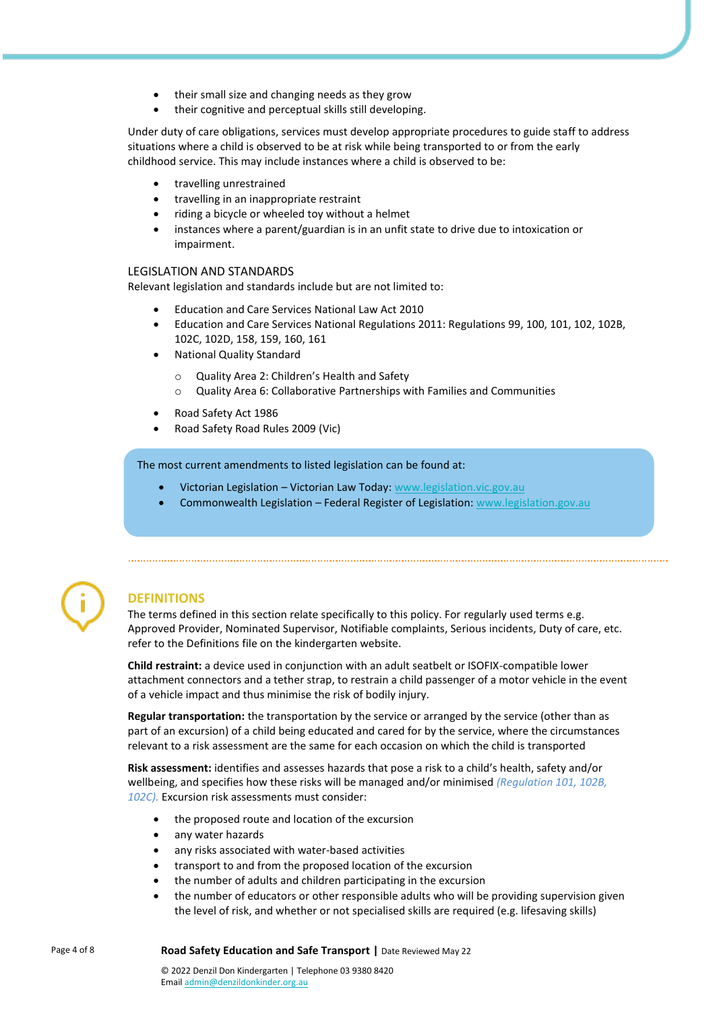- their small size and changing needs as they grow
- their cognitive and perceptual skills still developing.

Under duty of care obligations, services must develop appropriate procedures to guide staff to address situations where a child is observed to be at risk while being transported to or from the early childhood service. This may include instances where a child is observed to be:

- travelling unrestrained
- travelling in an inappropriate restraint
- riding a bicycle or wheeled toy without a helmet
- instances where a parent/guardian is in an unfit state to drive due to intoxication or impairment.

## LEGISLATION AND STANDARDS

Relevant legislation and standards include but are not limited to:

- Education and Care Services National Law Act 2010
- Education and Care Services National Regulations 2011: Regulations 99, 100, 101, 102, 102B, 102C, 102D, 158, 159, 160, 161
- National Quality Standard
	- o Quality Area 2: Children's Health and Safety
	- o Quality Area 6: Collaborative Partnerships with Families and Communities
- Road Safety Act 1986
- Road Safety Road Rules 2009 (Vic)

The most current amendments to listed legislation can be found at:

- Victorian Legislation Victorian Law Today[: www.legislation.vic.gov.au](http://www.legislation.vic.gov.au/)
- Commonwealth Legislation Federal Register of Legislation: [www.legislation.gov.au](http://www.legislation.gov.au/)



## **DEFINITIONS**

The terms defined in this section relate specifically to this policy. For regularly used terms e.g. Approved Provider, Nominated Supervisor, Notifiable complaints, Serious incidents, Duty of care, etc. refer to the Definitions file on the kindergarten website.

**Child restraint:** a device used in conjunction with an adult seatbelt or ISOFIX-compatible lower attachment connectors and a tether strap, to restrain a child passenger of a motor vehicle in the event of a vehicle impact and thus minimise the risk of bodily injury.

**Regular transportation:** the transportation by the service or arranged by the service (other than as part of an excursion) of a child being educated and cared for by the service, where the circumstances relevant to a risk assessment are the same for each occasion on which the child is transported

**Risk assessment:** identifies and assesses hazards that pose a risk to a child's health, safety and/or wellbeing, and specifies how these risks will be managed and/or minimised *(Regulation 101, 102B, 102C).* Excursion risk assessments must consider:

- the proposed route and location of the excursion
- any water hazards
- any risks associated with water-based activities
- transport to and from the proposed location of the excursion
- the number of adults and children participating in the excursion
- the number of educators or other responsible adults who will be providing supervision given the level of risk, and whether or not specialised skills are required (e.g. lifesaving skills)

Page 4 of 8 **Road Safety Education and Safe Transport |** Date Reviewed May 22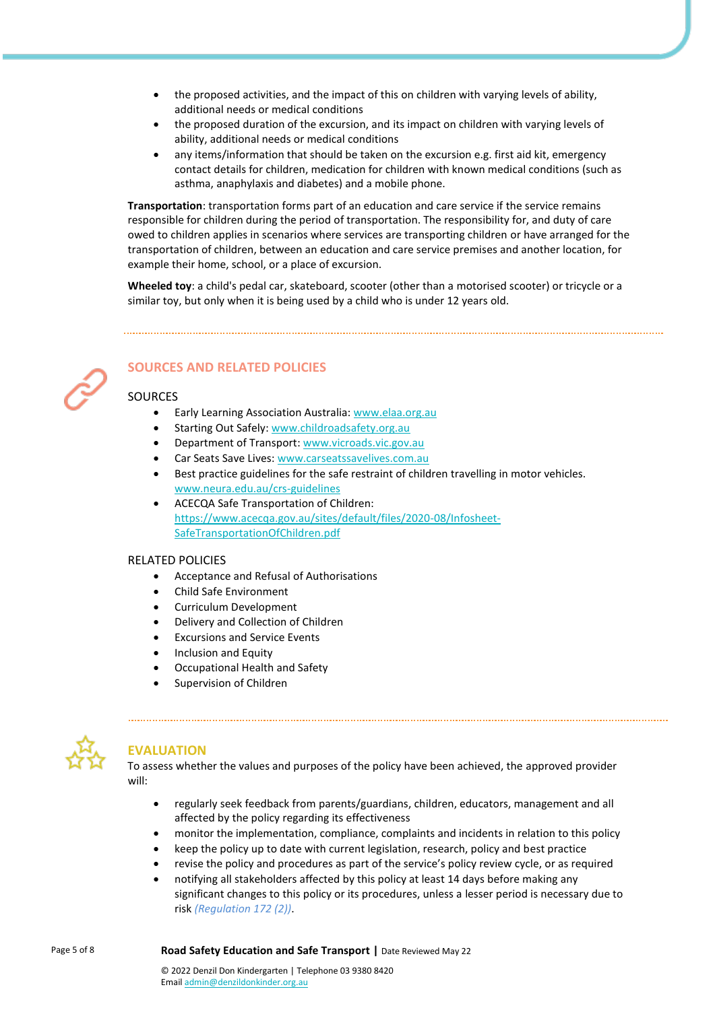- the proposed activities, and the impact of this on children with varying levels of ability, additional needs or medical conditions
- the proposed duration of the excursion, and its impact on children with varying levels of ability, additional needs or medical conditions
- any items/information that should be taken on the excursion e.g. first aid kit, emergency contact details for children, medication for children with known medical conditions (such as asthma, anaphylaxis and diabetes) and a mobile phone.

**Transportation**: transportation forms part of an education and care service if the service remains responsible for children during the period of transportation. The responsibility for, and duty of care owed to children applies in scenarios where services are transporting children or have arranged for the transportation of children, between an education and care service premises and another location, for example their home, school, or a place of excursion.

**Wheeled toy**: a child's pedal car, skateboard, scooter (other than a motorised scooter) or tricycle or a similar toy, but only when it is being used by a child who is under 12 years old.

## **SOURCES AND RELATED POLICIES**

## SOURCES

- Early Learning Association Australia[: www.elaa.org.au](http://www.elaa.org.au/)
- Starting Out Safely: [www.childroadsafety.org.au](https://childroadsafety.org.au/)
- Department of Transport[: www.vicroads.vic.gov.au](https://www.vicroads.vic.gov.au/)
- Car Seats Save Lives: [www.carseatssavelives.com.au](https://carseatssavelives.com.au/)
- Best practice guidelines for the safe restraint of children travelling in motor vehicles. [www.neura.edu.au/crs-guidelines](https://www.neura.edu.au/crs-guidelines/)
- ACECQA Safe Transportation of Children: [https://www.acecqa.gov.au/sites/default/files/2020-08/Infosheet-](https://www.acecqa.gov.au/sites/default/files/2020-08/Infosheet-SafeTransportationOfChildren.pdf)[SafeTransportationOfChildren.pdf](https://www.acecqa.gov.au/sites/default/files/2020-08/Infosheet-SafeTransportationOfChildren.pdf)

## RELATED POLICIES

- Acceptance and Refusal of Authorisations
- Child Safe Environment
- Curriculum Development
- Delivery and Collection of Children
- Excursions and Service Events
- Inclusion and Equity
- Occupational Health and Safety
- Supervision of Children



## **EVALUATION**

To assess whether the values and purposes of the policy have been achieved, the approved provider will:

- regularly seek feedback from parents/guardians, children, educators, management and all affected by the policy regarding its effectiveness
- monitor the implementation, compliance, complaints and incidents in relation to this policy
- keep the policy up to date with current legislation, research, policy and best practice
- revise the policy and procedures as part of the service's policy review cycle, or as required
- notifying all stakeholders affected by this policy at least 14 days before making any significant changes to this policy or its procedures, unless a lesser period is necessary due to risk *(Regulation 172 (2))*.

Page 5 of 8 **Road Safety Education and Safe Transport |** Date Reviewed May 22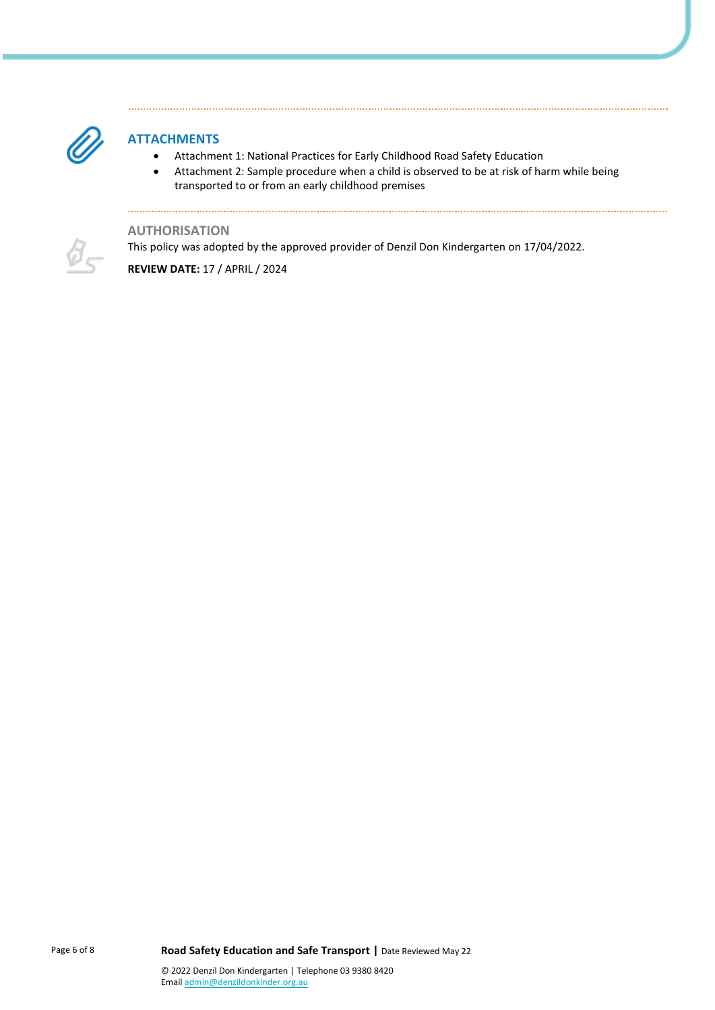

## **ATTACHMENTS**

- Attachment 1: National Practices for Early Childhood Road Safety Education
- Attachment 2: Sample procedure when a child is observed to be at risk of harm while being transported to or from an early childhood premises

**AUTHORISATION**

This policy was adopted by the approved provider of Denzil Don Kindergarten on 17/04/2022.

**REVIEW DATE:** 17 / APRIL / 2024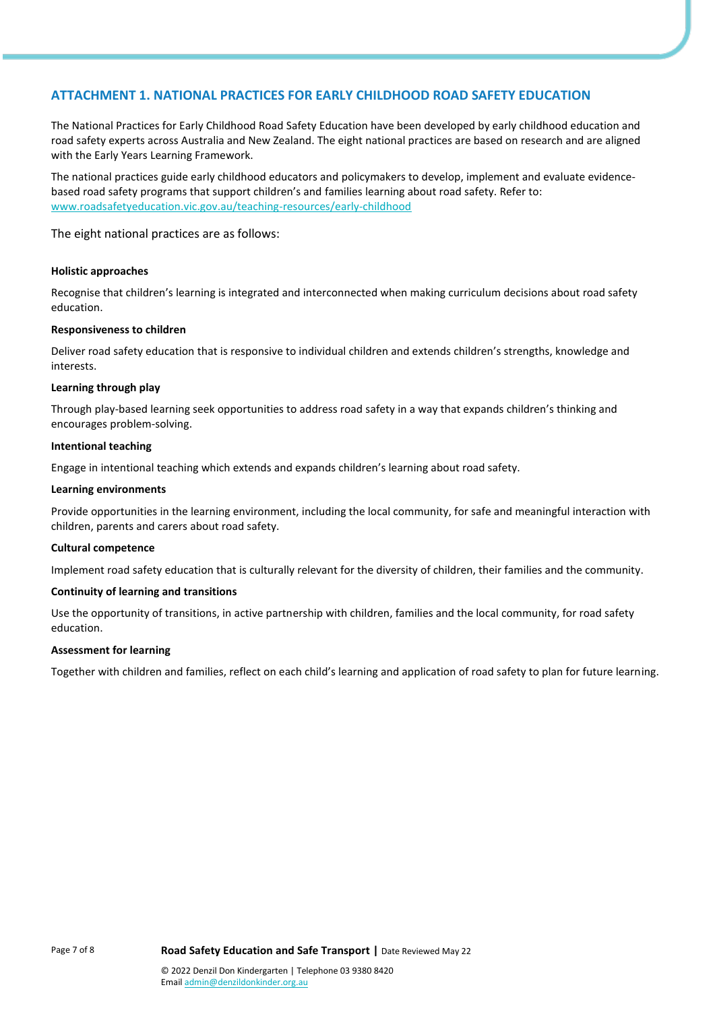## **ATTACHMENT 1. NATIONAL PRACTICES FOR EARLY CHILDHOOD ROAD SAFETY EDUCATION**

The National Practices for Early Childhood Road Safety Education have been developed by early childhood education and road safety experts across Australia and New Zealand. The eight national practices are based on research and are aligned with the Early Years Learning Framework.

The national practices guide early childhood educators and policymakers to develop, implement and evaluate evidencebased road safety programs that support children's and families learning about road safety. Refer to: [www.roadsafetyeducation.vic.gov.au/teaching-resources/early-childhood](http://www.roadsafetyeducation.vic.gov.au/teaching-resources/early-childhood)

The eight national practices are as follows:

#### **Holistic approaches**

Recognise that children's learning is integrated and interconnected when making curriculum decisions about road safety education.

#### **Responsiveness to children**

Deliver road safety education that is responsive to individual children and extends children's strengths, knowledge and interests.

#### **Learning through play**

Through play-based learning seek opportunities to address road safety in a way that expands children's thinking and encourages problem-solving.

#### **Intentional teaching**

Engage in intentional teaching which extends and expands children's learning about road safety.

#### **Learning environments**

Provide opportunities in the learning environment, including the local community, for safe and meaningful interaction with children, parents and carers about road safety.

#### **Cultural competence**

Implement road safety education that is culturally relevant for the diversity of children, their families and the community.

#### **Continuity of learning and transitions**

Use the opportunity of transitions, in active partnership with children, families and the local community, for road safety education.

#### **Assessment for learning**

Together with children and families, reflect on each child's learning and application of road safety to plan for future learning.